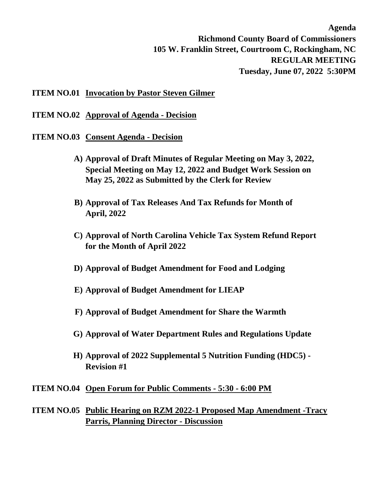**Agenda Richmond County Board of Commissioners 105 W. Franklin Street, Courtroom C, Rockingham, NC REGULAR MEETING Tuesday, June 07, 2022 5:30PM**

## **ITEM NO.01 Invocation by Pastor Steven Gilmer**

**ITEM NO.02 Approval of Agenda - Decision**

- **ITEM NO.03 Consent Agenda Decision**
	- **A) Approval of Draft Minutes of Regular Meeting on May 3, 2022, Special Meeting on May 12, 2022 and Budget Work Session on May 25, 2022 as Submitted by the Clerk for Review**
	- **B) Approval of Tax Releases And Tax Refunds for Month of April, 2022**
	- **C) Approval of North Carolina Vehicle Tax System Refund Report for the Month of April 2022**
	- **D) Approval of Budget Amendment for Food and Lodging**
	- **E) Approval of Budget Amendment for LIEAP**
	- **F) Approval of Budget Amendment for Share the Warmth**
	- **G) Approval of Water Department Rules and Regulations Update**
	- **H) Approval of 2022 Supplemental 5 Nutrition Funding (HDC5) Revision #1**

## **ITEM NO.04 Open Forum for Public Comments - 5:30 - 6:00 PM**

**ITEM NO.05 Public Hearing on RZM 2022-1 Proposed Map Amendment -Tracy Parris, Planning Director - Discussion**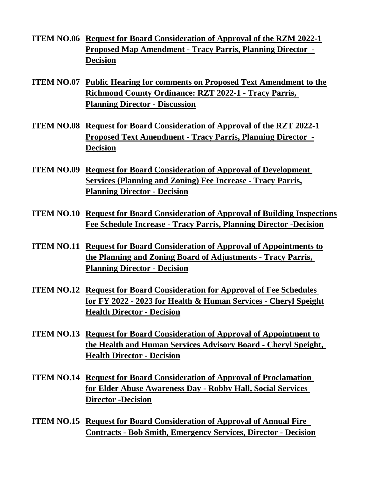- **ITEM NO.06 Request for Board Consideration of Approval of the RZM 2022-1 Proposed Map Amendment - Tracy Parris, Planning Director - Decision**
- **ITEM NO.07 Public Hearing for comments on Proposed Text Amendment to the Richmond County Ordinance: RZT 2022-1 - Tracy Parris, Planning Director - Discussion**
- **ITEM NO.08 Request for Board Consideration of Approval of the RZT 2022-1 Proposed Text Amendment - Tracy Parris, Planning Director - Decision**
- **ITEM NO.09 Request for Board Consideration of Approval of Development Services (Planning and Zoning) Fee Increase - Tracy Parris, Planning Director - Decision**
- **ITEM NO.10 Request for Board Consideration of Approval of Building Inspections Fee Schedule Increase - Tracy Parris, Planning Director -Decision**
- **ITEM NO.11 Request for Board Consideration of Approval of Appointments to the Planning and Zoning Board of Adjustments - Tracy Parris, Planning Director - Decision**
- **ITEM NO.12 Request for Board Consideration for Approval of Fee Schedules for FY 2022 - 2023 for Health & Human Services - Cheryl Speight Health Director - Decision**
- **ITEM NO.13 Request for Board Consideration of Approval of Appointment to the Health and Human Services Advisory Board - Cheryl Speight, Health Director - Decision**
- **ITEM NO.14 Request for Board Consideration of Approval of Proclamation for Elder Abuse Awareness Day - Robby Hall, Social Services Director -Decision**
- **ITEM NO.15 Request for Board Consideration of Approval of Annual Fire Contracts - Bob Smith, Emergency Services, Director - Decision**